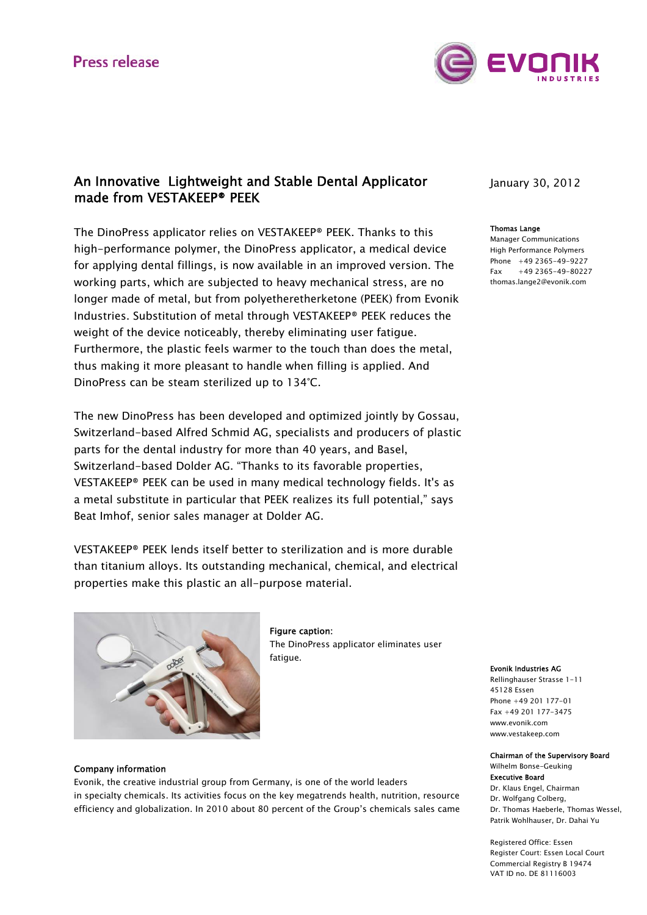

# An Innovative Lightweight and Stable Dental Applicator made from VESTAKEEP® PEEK

The DinoPress applicator relies on VESTAKEEP® PEEK. Thanks to this high-performance polymer, the DinoPress applicator, a medical device for applying dental fillings, is now available in an improved version. The working parts, which are subjected to heavy mechanical stress, are no longer made of metal, but from polyetheretherketone (PEEK) from Evonik Industries. Substitution of metal through VESTAKEEP® PEEK reduces the weight of the device noticeably, thereby eliminating user fatigue. Furthermore, the plastic feels warmer to the touch than does the metal, thus making it more pleasant to handle when filling is applied. And DinoPress can be steam sterilized up to 134°C.

The new DinoPress has been developed and optimized jointly by Gossau, Switzerland-based Alfred Schmid AG, specialists and producers of plastic parts for the dental industry for more than 40 years, and Basel, Switzerland-based Dolder AG. "Thanks to its favorable properties, VESTAKEEP® PEEK can be used in many medical technology fields. It's as a metal substitute in particular that PEEK realizes its full potential," says Beat Imhof, senior sales manager at Dolder AG.

VESTAKEEP® PEEK lends itself better to sterilization and is more durable than titanium alloys. Its outstanding mechanical, chemical, and electrical properties make this plastic an all-purpose material.



Figure caption: The DinoPress applicator eliminates user fatigue.

### Company information

Evonik, the creative industrial group from Germany, is one of the world leaders in specialty chemicals. Its activities focus on the key megatrends health, nutrition, resource efficiency and globalization. In 2010 about 80 percent of the Group's chemicals sales came January 30, 2012

#### Thomas Lange

Manager Communications High Performance Polymers Phone +49 2365-49-9227 Fax +49 2365-49-80227 thomas.lange2@evonik.com

#### Evonik Industries AG

Rellinghauser Strasse 1-11 45128 Essen Phone +49 201 177-01 Fax +49 201 177-3475 www.evonik.com www.vestakeep.com

### Chairman of the Supervisory Board

Wilhelm Bonse-Geuking Executive Board Dr. Klaus Engel, Chairman Dr. Wolfgang Colberg, Dr. Thomas Haeberle, Thomas Wessel, Patrik Wohlhauser, Dr. Dahai Yu

Registered Office: Essen Register Court: Essen Local Court Commercial Registry B 19474 VAT ID no. DE 81116003